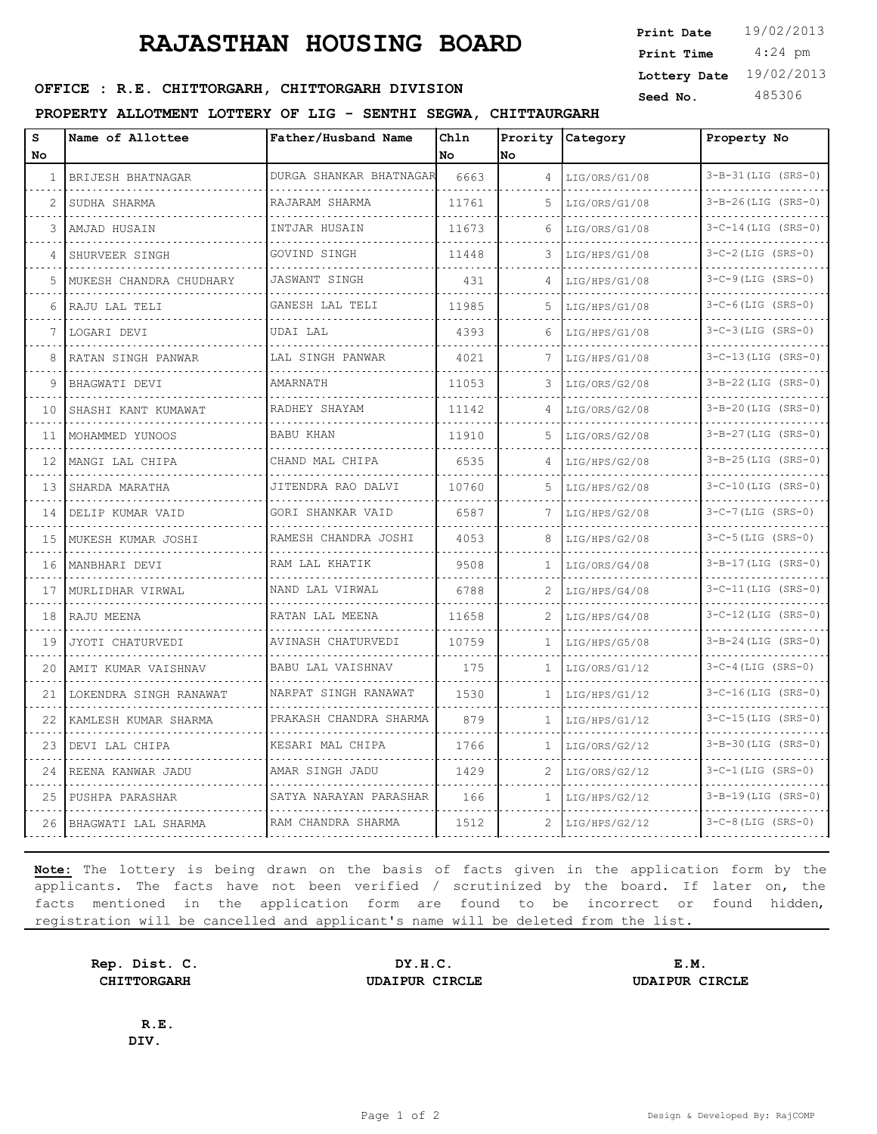# **RAJASTHAN HOUSING BOARD**

 4:24 pm **Print Date Print Time Lottery Date** 19/02/2013

## **SEED OFFICE : R.E. CHITTORGARH, CHITTORGARH DIVISION** Seed No. 485306

#### **PROPERTY ALLOTMENT LOTTERY OF LIG - SENTHI SEGWA, CHITTAURGARH**

| s  | Name of Allottee        | Father/Husband Name     | Chln  | Prority      | Category      | Property No               |
|----|-------------------------|-------------------------|-------|--------------|---------------|---------------------------|
| No |                         |                         | No.   | No           |               |                           |
| 1  | BRIJESH BHATNAGAR       | DURGA SHANKAR BHATNAGAR | 6663  | 4            | LIG/ORS/G1/08 | $3 - B - 31$ (LIG (SRS-0) |
| 2  | SUDHA SHARMA            | RAJARAM SHARMA          | 11761 | 5            | LIG/ORS/G1/08 | $3-B-26$ (LIG (SRS-0)     |
| 3  | AMJAD HUSAIN            | INTJAR HUSAIN           | 11673 | 6            | LIG/ORS/G1/08 | $3-C-14$ (LIG (SRS-0)     |
| 4  | SHURVEER SINGH          | GOVIND SINGH            | 11448 | 3            | LIG/HPS/G1/08 | $3-C-2$ (LIG (SRS-0)      |
| 5  | MUKESH CHANDRA CHUDHARY | <b>JASWANT SINGH</b>    | 431   | 4            | LIG/HPS/G1/08 | $3-C-9$ (LIG (SRS-0)      |
| 6  | RAJU LAL TELI           | GANESH LAL TELI         | 11985 | 5            | LIG/HPS/G1/08 | $3-C-6$ (LIG (SRS-0)      |
|    | LOGARI DEVI             | UDAI LAL                | 4393  | 6            | LIG/HPS/G1/08 | $3-C-3$ (LIG (SRS-0)      |
| 8  | RATAN SINGH PANWAR      | LAL SINGH PANWAR        | 4021  | 7            | LIG/HPS/G1/08 | $3-C-13$ (LIG (SRS-0)     |
| 9  | BHAGWATI DEVI           | AMARNATH                | 11053 | 3            | LIG/ORS/G2/08 | $3-B-22$ (LIG (SRS-0)     |
| 10 | SHASHI KANT KUMAWAT     | RADHEY SHAYAM           | 11142 | 4            | LIG/ORS/G2/08 | $3 - B - 20$ (LIG (SRS-0) |
| 11 | MOHAMMED YUNOOS         | BABU KHAN               | 11910 | 5            | LIG/ORS/G2/08 | $3-B-27$ (LIG (SRS-0)     |
| 12 | MANGI LAL CHIPA         | CHAND MAL CHIPA         | 6535  | 4            | LIG/HPS/G2/08 | $3-B-25$ (LIG (SRS-0)     |
| 13 | SHARDA MARATHA          | JITENDRA RAO DALVI      | 10760 | 5            | LIG/HPS/G2/08 | $3-C-10$ (LIG (SRS-0)     |
| 14 | DELIP KUMAR VAID        | GORI SHANKAR VAID       | 6587  | 7            | LIG/HPS/G2/08 | $3-C-7$ (LIG (SRS-0)      |
| 15 | MUKESH KUMAR JOSHI      | RAMESH CHANDRA JOSHI    | 4053  | 8            | LIG/HPS/G2/08 | $3-C-5$ (LIG (SRS-0)      |
| 16 | MANBHARI DEVI           | RAM LAL KHATIK          | 9508  | 1            | LIG/ORS/G4/08 | 3-B-17 (LIG (SRS-0)       |
| 17 | MURLIDHAR VIRWAL        | NAND LAL VIRWAL         | 6788  | 2            | LIG/HPS/G4/08 | $3 - C - 11$ (LIG (SRS-0) |
| 18 | RAJU MEENA              | RATAN LAL MEENA         | 11658 | 2            | LIG/HPS/G4/08 | $3-C-12$ (LIG (SRS-0)     |
| 19 | JYOTI CHATURVEDI        | AVINASH CHATURVEDI      | 10759 | 1            | LIG/HPS/G5/08 | $3 - B - 24$ (LIG (SRS-0) |
| 20 | AMIT KUMAR VAISHNAV     | BABU LAL VAISHNAV       | 175   | 1            | LIG/ORS/G1/12 | $3 - C - 4$ (LIG (SRS-0)  |
| 21 | LOKENDRA SINGH RANAWAT  | NARPAT SINGH RANAWAT    | 1530  | 1            | LIG/HPS/G1/12 | $3 - C - 16$ (LIG (SRS-0) |
| 22 | KAMLESH KUMAR SHARMA    | PRAKASH CHANDRA SHARMA  | 879   | 1            | LIG/HPS/G1/12 | $3-C-15$ (LIG (SRS-0)     |
| 23 | DEVI LAL CHIPA          | KESARI MAL CHIPA        | 1766  | 1            | LIG/ORS/G2/12 | $3 - B - 30$ (LIG (SRS-0) |
| 24 | REENA KANWAR JADU       | AMAR SINGH JADU         | 1429  | 2            | LIG/ORS/G2/12 | $3 - C - 1$ (LIG (SRS-0)  |
| 25 | PUSHPA PARASHAR         | SATYA NARAYAN PARASHAR  | 166   | $\mathbf{1}$ | LIG/HPS/G2/12 | $3 - B - 19$ (LIG (SRS-0) |
| 26 | BHAGWATI LAL SHARMA     | RAM CHANDRA SHARMA      | 1512  | 2            | LIG/HPS/G2/12 | $3-C-8$ (LIG (SRS-0)      |

**Note:** The lottery is being drawn on the basis of facts given in the application form by the applicants. The facts have not been verified / scrutinized by the board. If later on, the facts mentioned in the application form are found to be incorrect or found hidden, registration will be cancelled and applicant's name will be deleted from the list.

**Rep. Dist. C. DY.H.C. E.M. CHITTORGARH UDAIPUR CIRCLE UDAIPUR CIRCLE**

**R.E. DIV.**